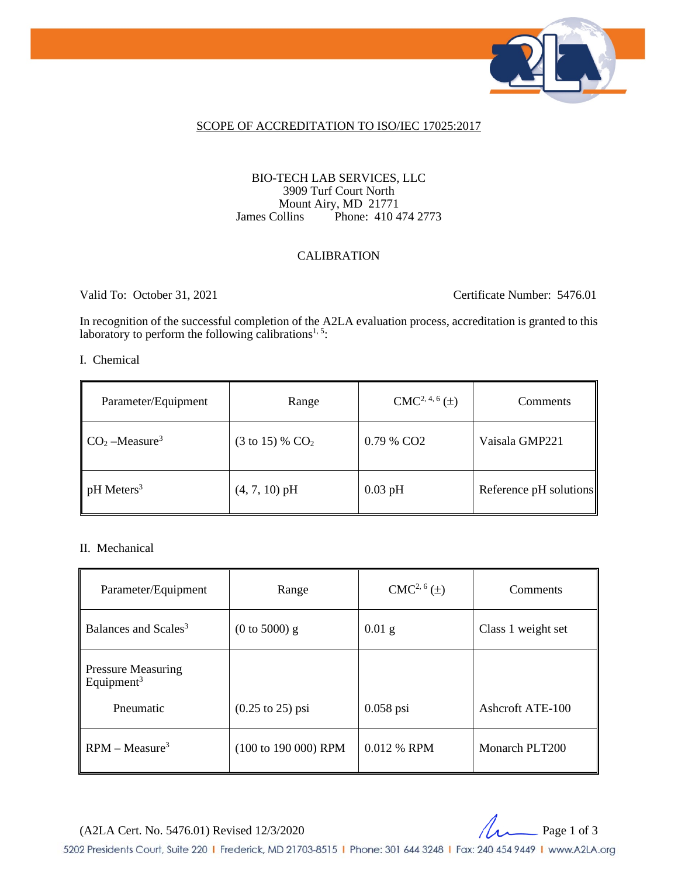

#### SCOPE OF ACCREDITATION TO ISO/IEC 17025:2017

#### BIO-TECH LAB SERVICES, LLC 3909 Turf Court North Mount Airy, MD 21771 James Collins Phone: 410 474 2773

#### CALIBRATION

Valid To: October 31, 2021 Certificate Number: 5476.01

In recognition of the successful completion of the A2LA evaluation process, accreditation is granted to this laboratory to perform the following calibrations<sup>1, 5</sup>:

I. Chemical

| Parameter/Equipment      | Range                        | $CMC2, 4, 6(\pm)$      | <b>Comments</b>        |
|--------------------------|------------------------------|------------------------|------------------------|
| $CO2 - Measure3$         | $(3 \text{ to } 15)$ % $CO2$ | 0.79 % CO <sub>2</sub> | Vaisala GMP221         |
| $pH$ Meters <sup>3</sup> | $(4, 7, 10)$ pH              | $0.03$ pH              | Reference pH solutions |

#### II. Mechanical

| Parameter/Equipment                                 | Range                               | $CMC2, 6(\pm)$ | Comments           |
|-----------------------------------------------------|-------------------------------------|----------------|--------------------|
| Balances and Scales <sup>3</sup>                    | $(0 \text{ to } 5000)$ g            | $0.01$ g       | Class 1 weight set |
| <b>Pressure Measuring</b><br>Equipment <sup>3</sup> |                                     |                |                    |
| Pneumatic                                           | $(0.25 \text{ to } 25) \text{ psi}$ | $0.058$ psi    | Ashcroft ATE-100   |
| $RPM - Measure3$                                    | (100 to 190 000) RPM                | 0.012 % RPM    | Monarch PLT200     |

(A2LA Cert. No. 5476.01) Revised 12/3/2020 20



5202 Presidents Court, Suite 220 | Frederick, MD 21703-8515 | Phone: 301 644 3248 | Fax: 240 454 9449 | www.A2LA.org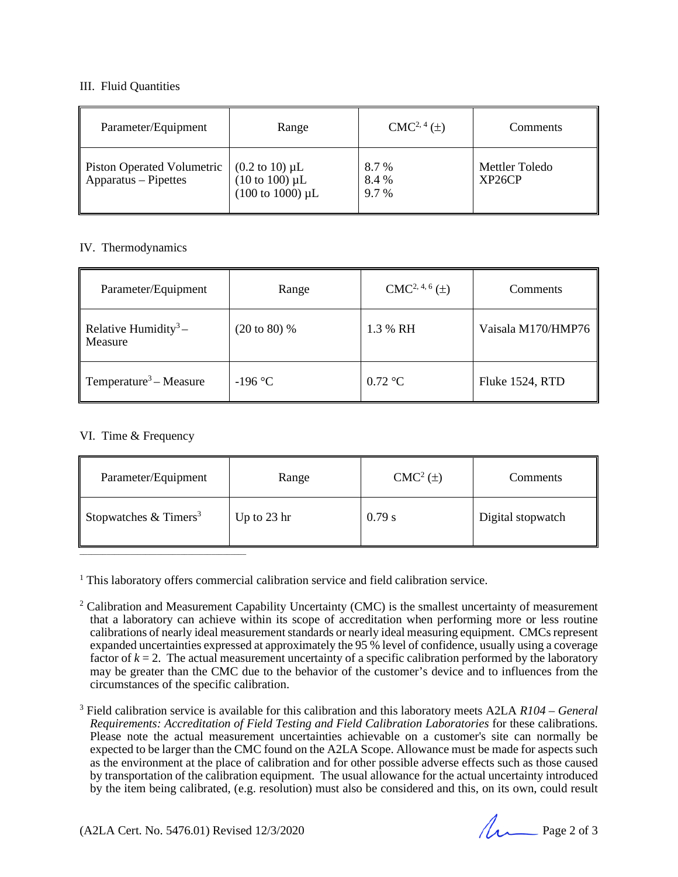#### III. Fluid Quantities

| Parameter/Equipment                                | Range                                                                                                        | $CMC2, 4(\pm)$         | Comments                 |
|----------------------------------------------------|--------------------------------------------------------------------------------------------------------------|------------------------|--------------------------|
| Piston Operated Volumetric<br>Apparatus – Pipettes | $(0.2 \text{ to } 10) \mu L$<br>$(10 \text{ to } 100) \mu L$<br>$(100 \text{ to } 1000) \text{ }\mu\text{L}$ | 8.7%<br>8.4 %<br>9.7 % | Mettler Toledo<br>XP26CP |

#### IV. Thermodynamics

| Parameter/Equipment                            | Range                   | $CMC2, 4, 6(\pm)$ | Comments           |
|------------------------------------------------|-------------------------|-------------------|--------------------|
| Relative Humidity <sup>3</sup> –<br>Measure    | $(20 \text{ to } 80)$ % | 1.3 % RH          | Vaisala M170/HMP76 |
| $\parallel$ Temperature <sup>3</sup> – Measure | $-196$ °C               | $0.72$ °C         | Fluke 1524, RTD    |

#### VI. Time & Frequency

| Parameter/Equipment            | Range       | CMC <sup>2</sup> (±) | Comments          |
|--------------------------------|-------------|----------------------|-------------------|
| Stopwatches $& \text{Times}^3$ | Up to 23 hr | 0.79 s               | Digital stopwatch |

<sup>1</sup> This laboratory offers commercial calibration service and field calibration service.

- <sup>2</sup> Calibration and Measurement Capability Uncertainty (CMC) is the smallest uncertainty of measurement that a laboratory can achieve within its scope of accreditation when performing more or less routine calibrations of nearly ideal measurement standards or nearly ideal measuring equipment. CMCs represent expanded uncertainties expressed at approximately the 95 % level of confidence, usually using a coverage factor of  $k = 2$ . The actual measurement uncertainty of a specific calibration performed by the laboratory may be greater than the CMC due to the behavior of the customer's device and to influences from the circumstances of the specific calibration.
- <sup>3</sup> Field calibration service is available for this calibration and this laboratory meets A2LA *R104 – General Requirements: Accreditation of Field Testing and Field Calibration Laboratories* for these calibrations. Please note the actual measurement uncertainties achievable on a customer's site can normally be expected to be larger than the CMC found on the A2LA Scope. Allowance must be made for aspects such as the environment at the place of calibration and for other possible adverse effects such as those caused by transportation of the calibration equipment. The usual allowance for the actual uncertainty introduced by the item being calibrated, (e.g. resolution) must also be considered and this, on its own, could result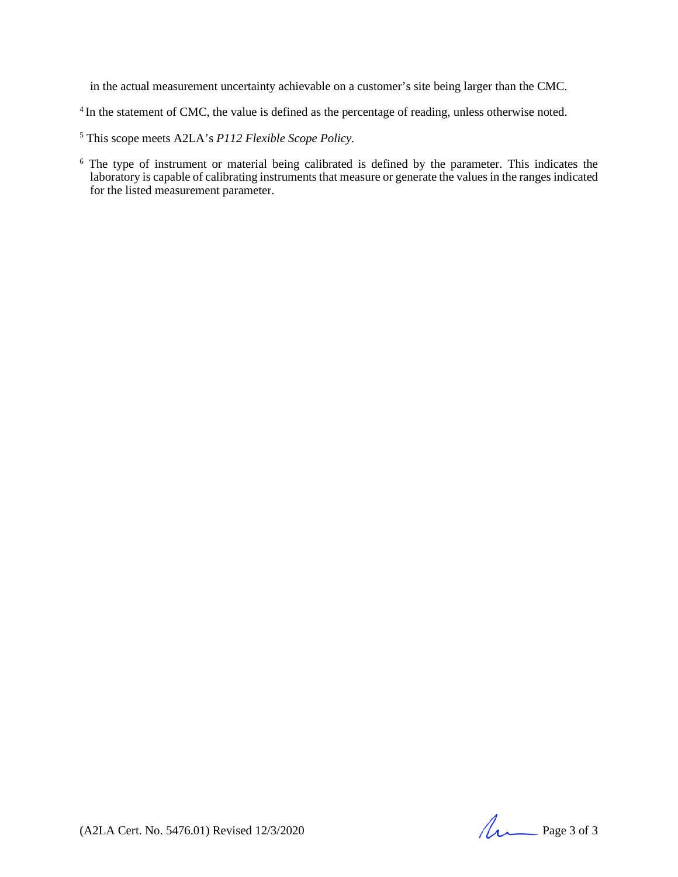in the actual measurement uncertainty achievable on a customer's site being larger than the CMC.

<sup>4</sup> In the statement of CMC, the value is defined as the percentage of reading, unless otherwise noted.

<sup>5</sup> This scope meets A2LA's *P112 Flexible Scope Policy.*

<sup>6</sup> The type of instrument or material being calibrated is defined by the parameter. This indicates the laboratory is capable of calibrating instruments that measure or generate the values in the ranges indicated for the listed measurement parameter.

(A2LA Cert. No. 5476.01) Revised 12/3/2020 Page 3 of 3